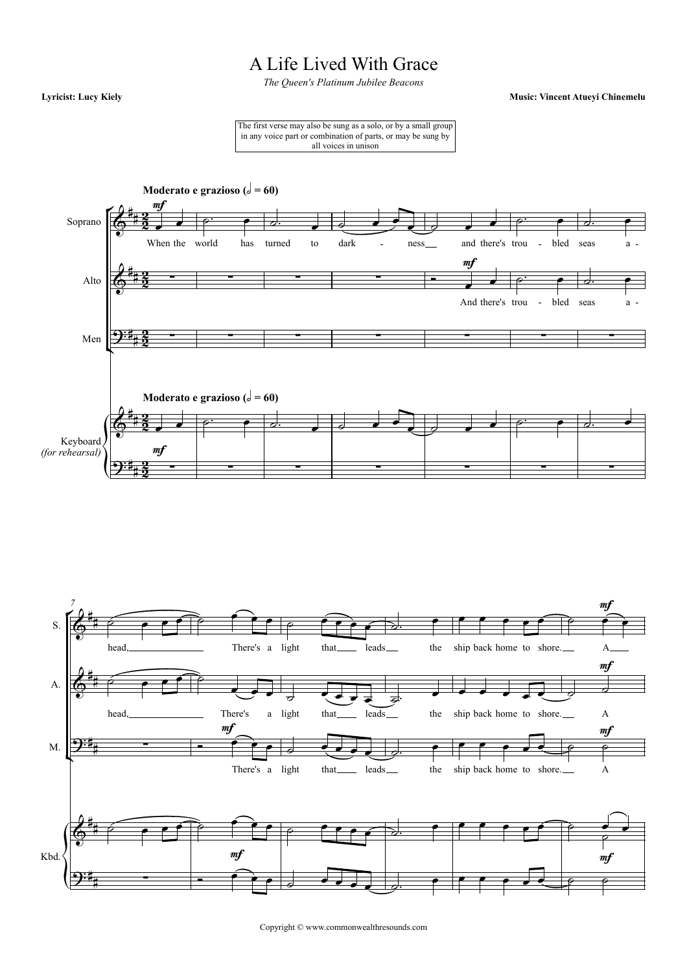### A Life Lived With Grace

*The Queen's Platinum Jubilee Beacons*

**Lyricist: Lucy Kiely Music: Vincent Atueyi Chinemelu**







Copyright © www.commonwealthresounds.com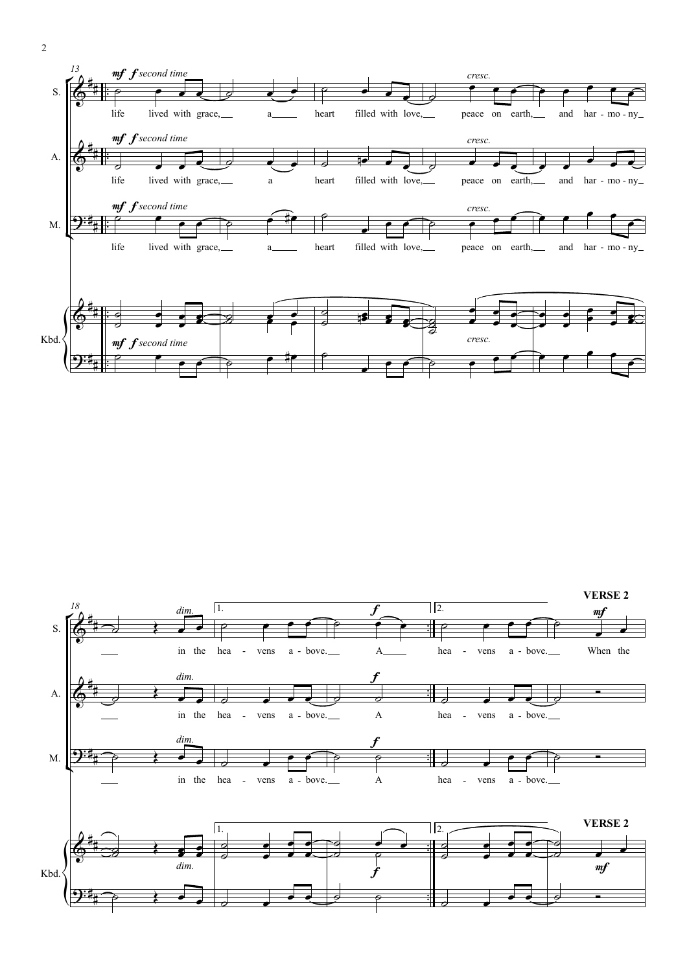



2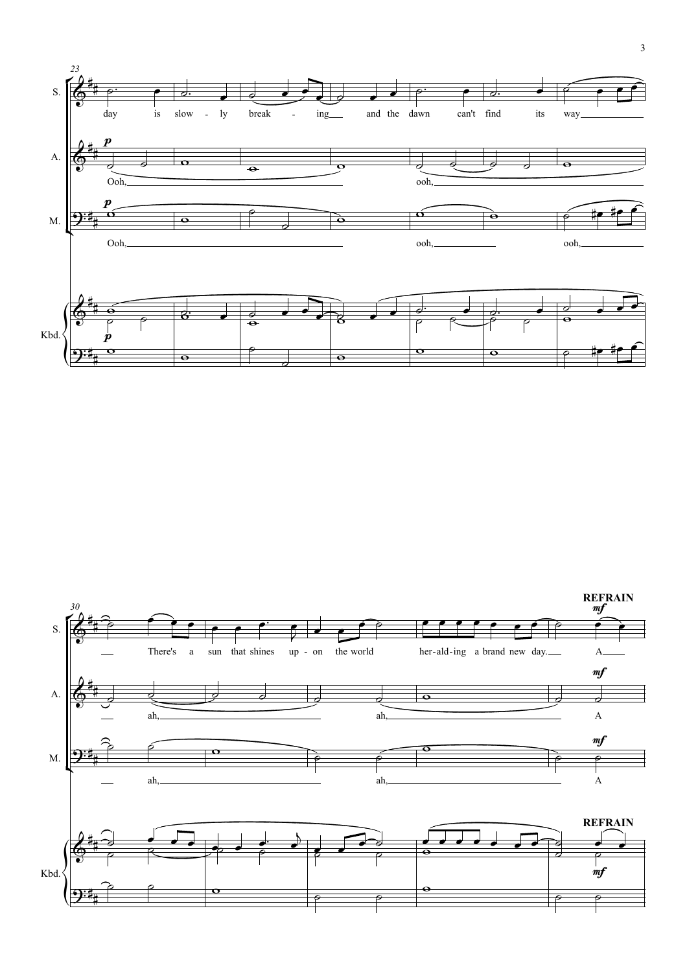

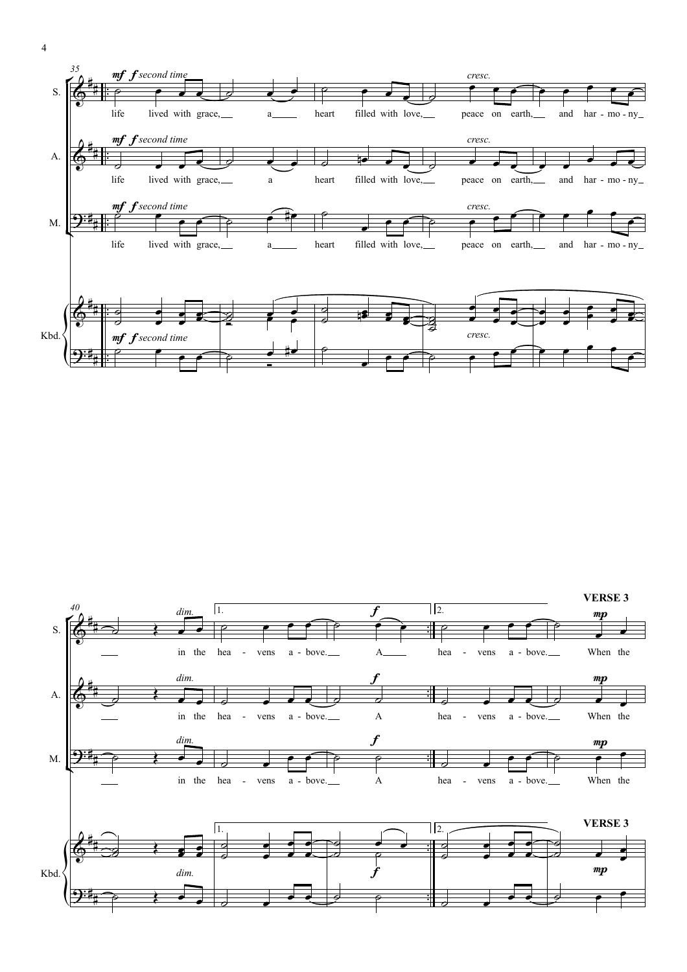

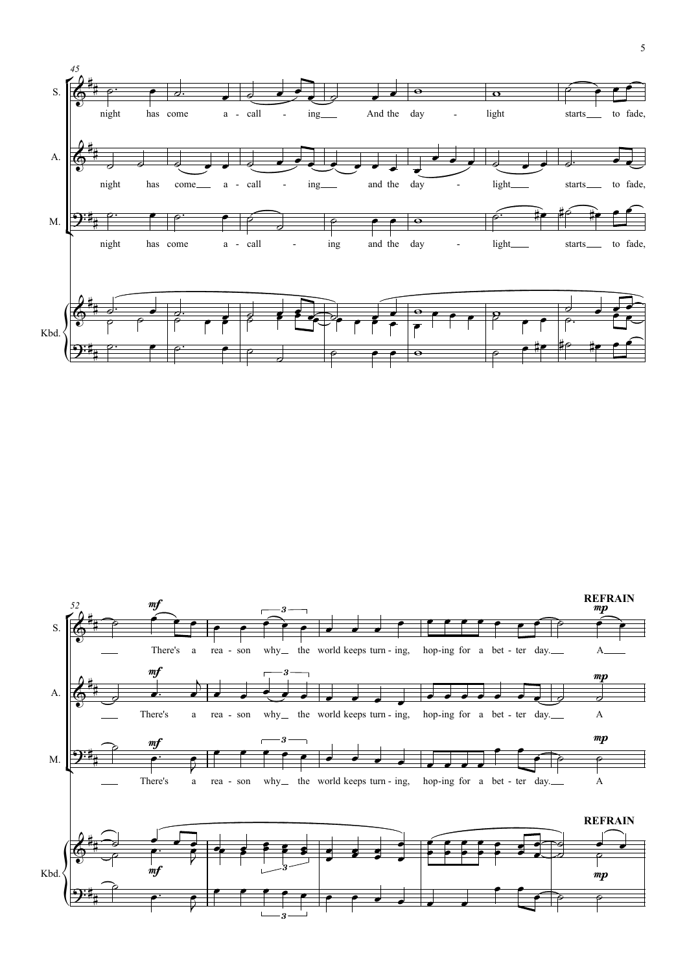

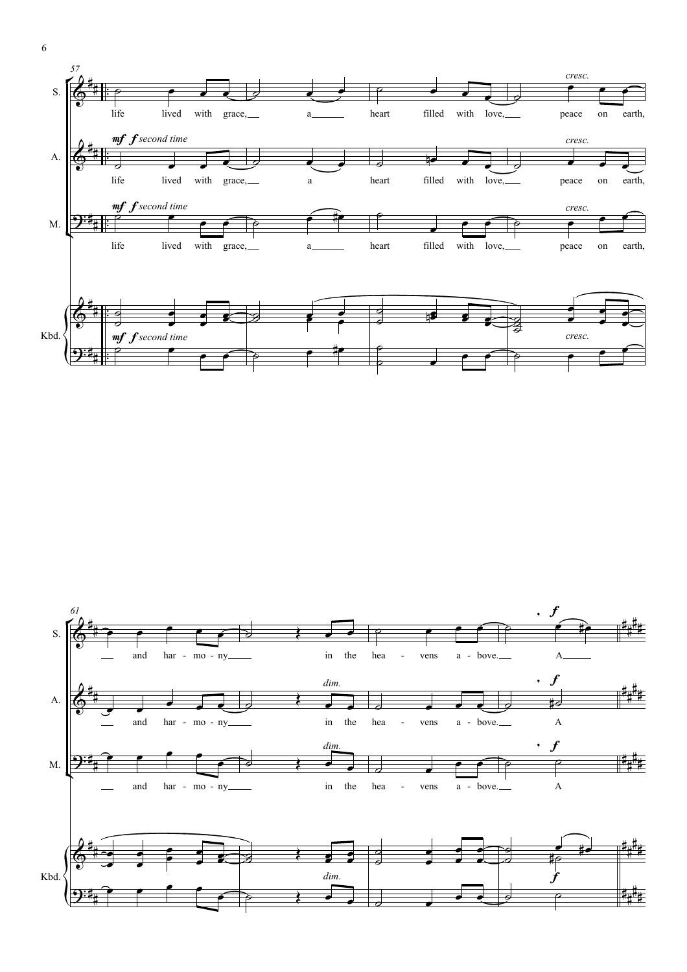



6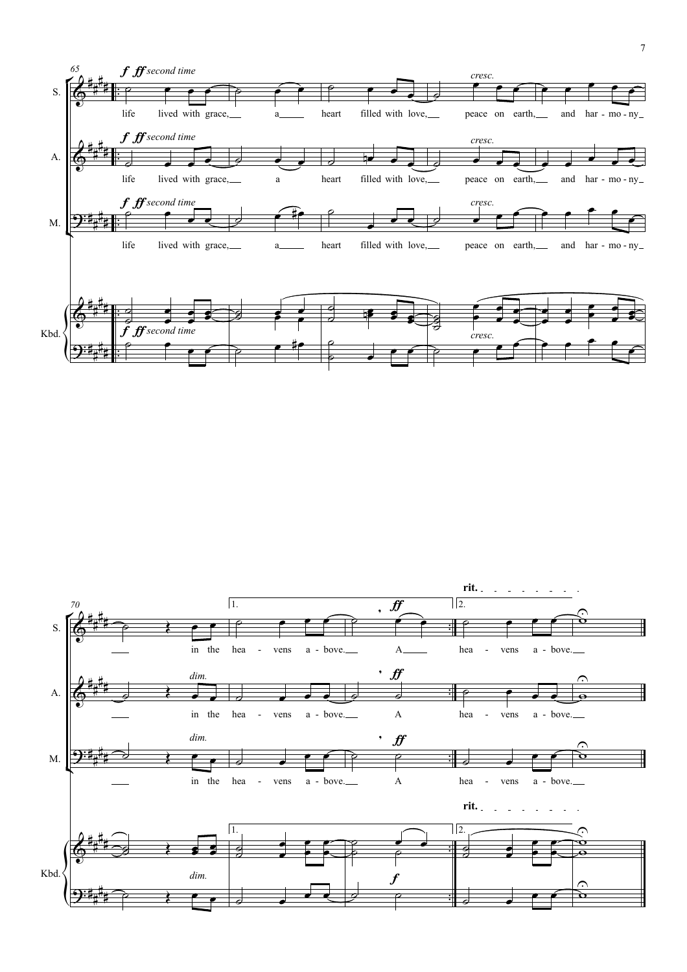

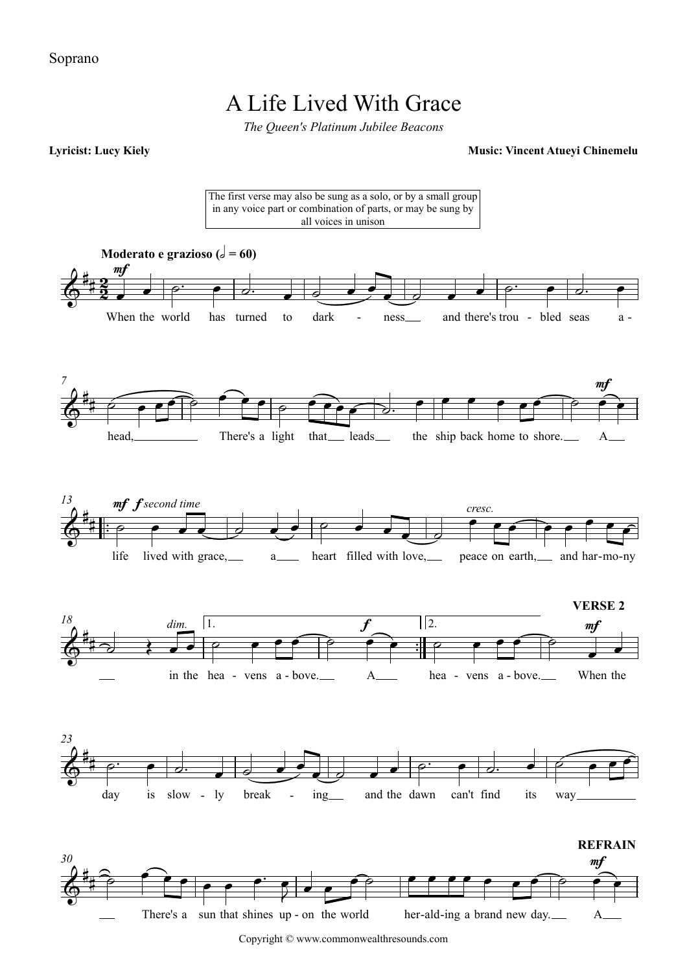### Soprano

## A Life Lived With Grace

*The Queen's Platinum Jubilee Beacons*

**Lyricist: Lucy Kiely Music: Vincent Atueyi Chinemelu**



Copyright © www.commonwealthresounds.com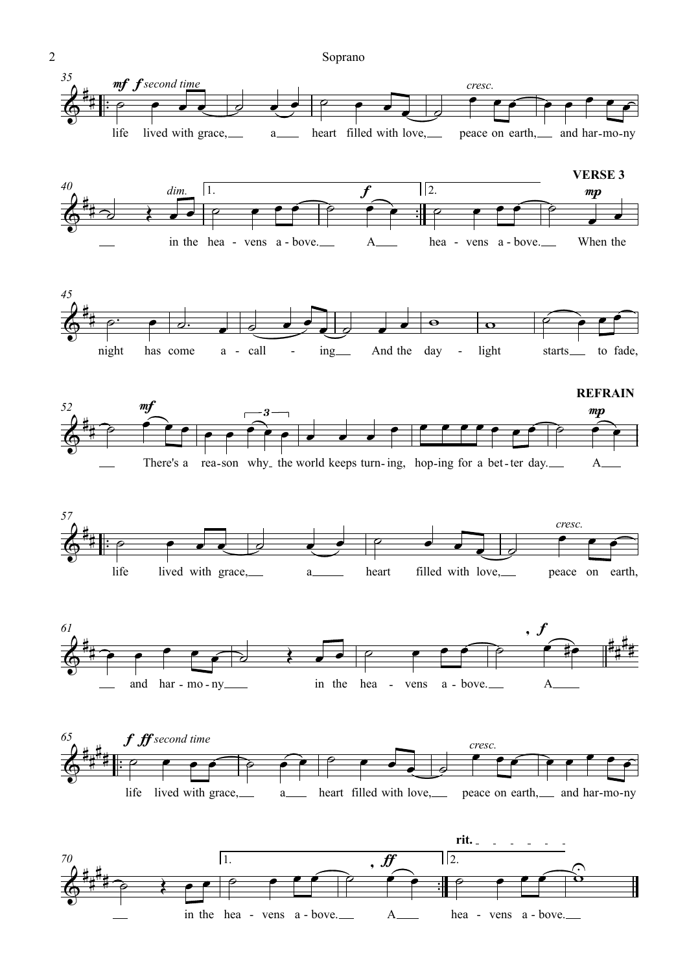2 Soprano

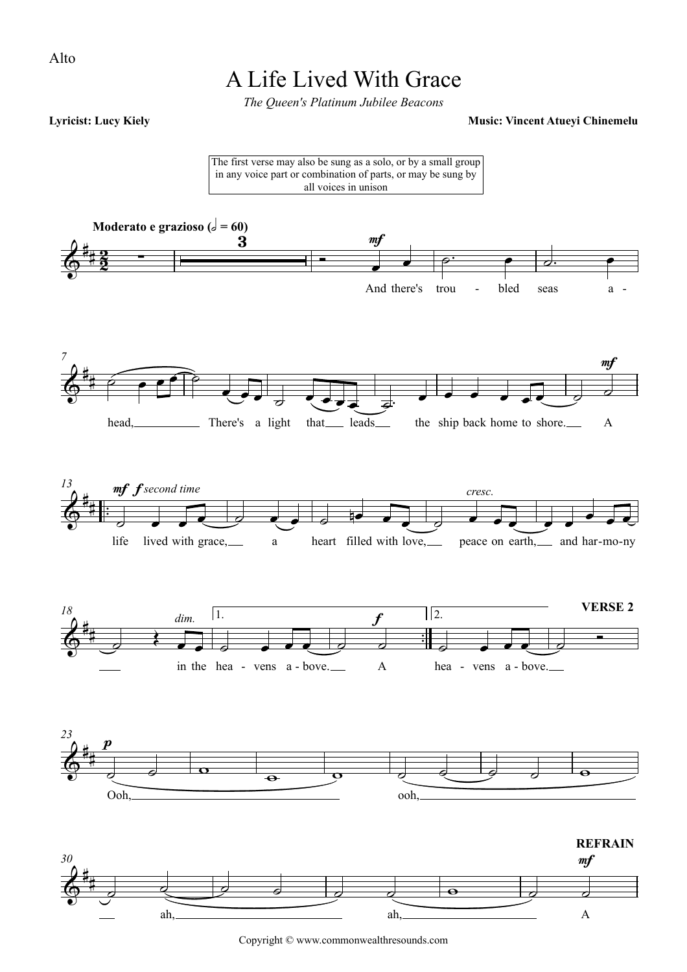### Alto

## A Life Lived With Grace

*The Queen's Platinum Jubilee Beacons*

**Lyricist: Lucy Kiely Music: Vincent Atueyi Chinemelu**

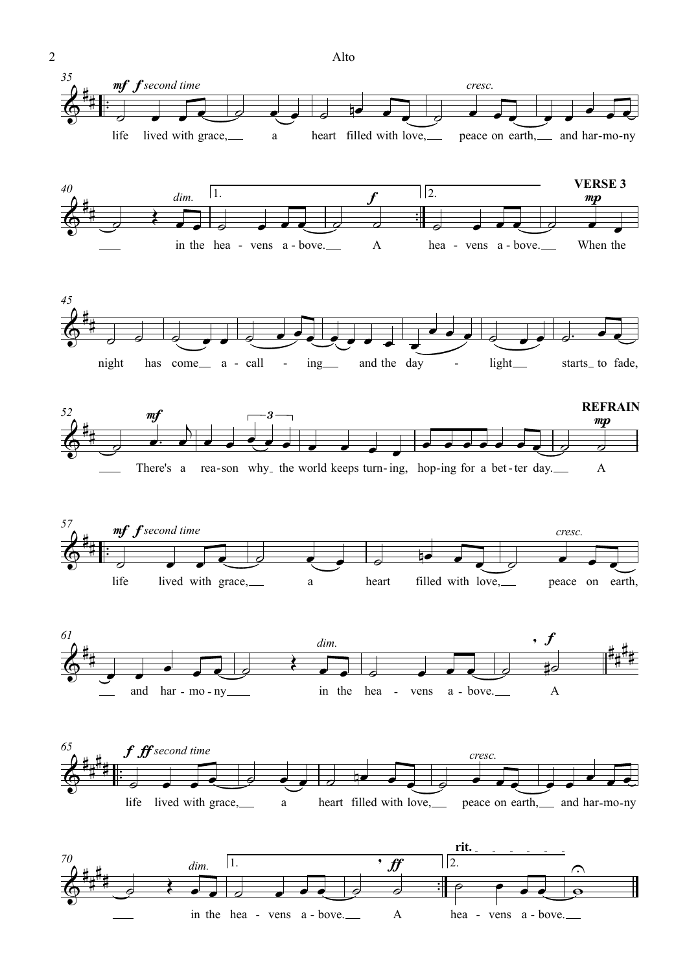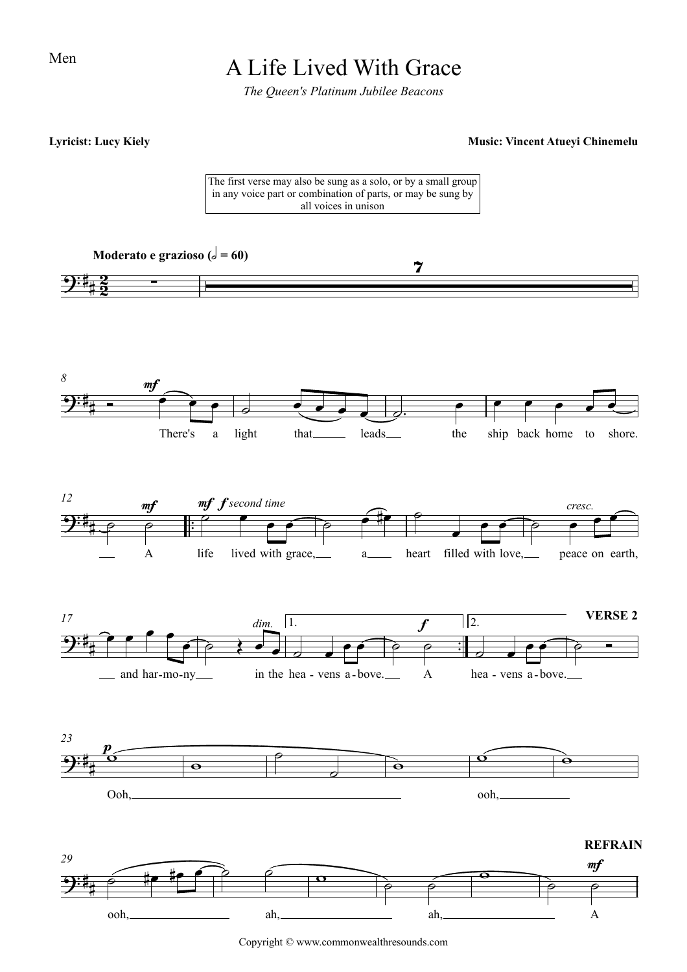## A Life Lived With Grace

*The Queen's Platinum Jubilee Beacons*

### **Lyricist: Lucy Kiely Music: Vincent Atueyi Chinemelu**



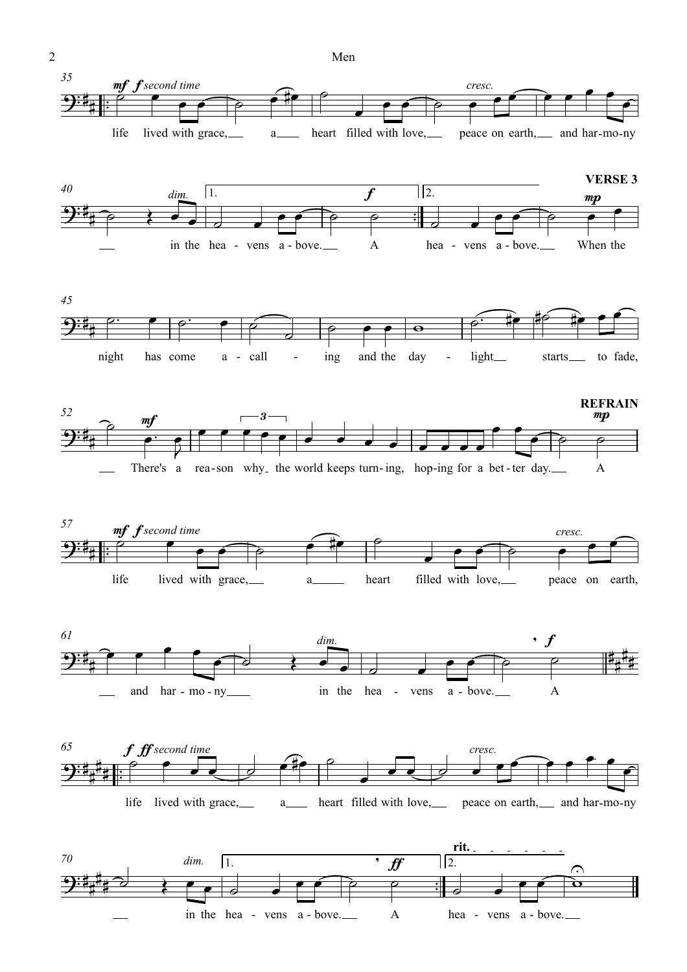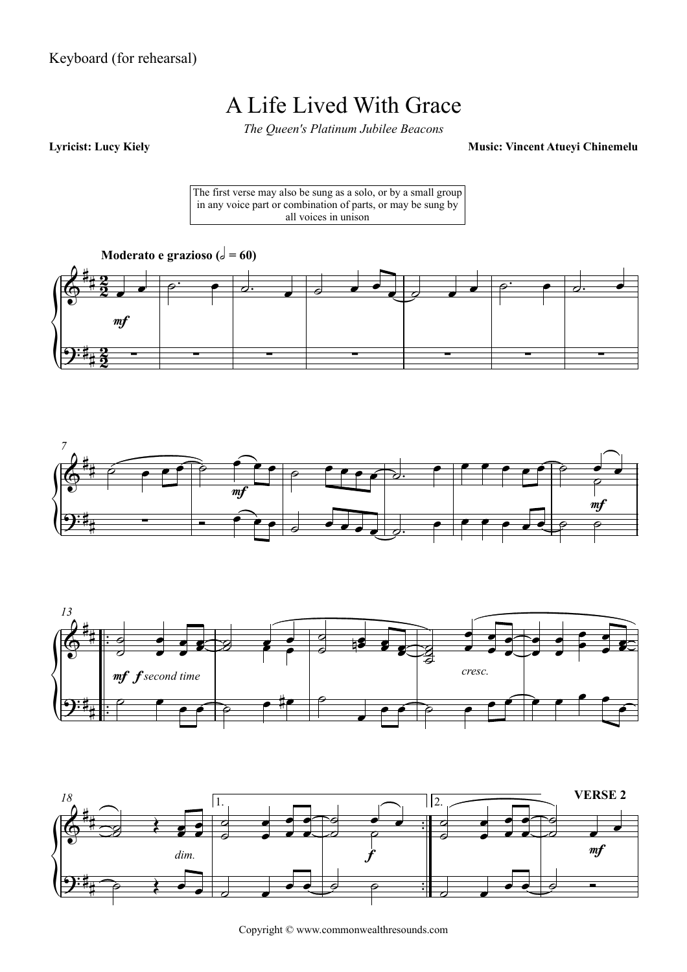Keyboard (for rehearsal)

# A Life Lived With Grace

*The Queen's Platinum Jubilee Beacons*

**Lyricist: Lucy Kiely Music: Vincent Atueyi Chinemelu**

The first verse may also be sung as a solo, or by a small group in any voice part or combination of parts, or may be sung by all voices in unison









Copyright © www.commonwealthresounds.com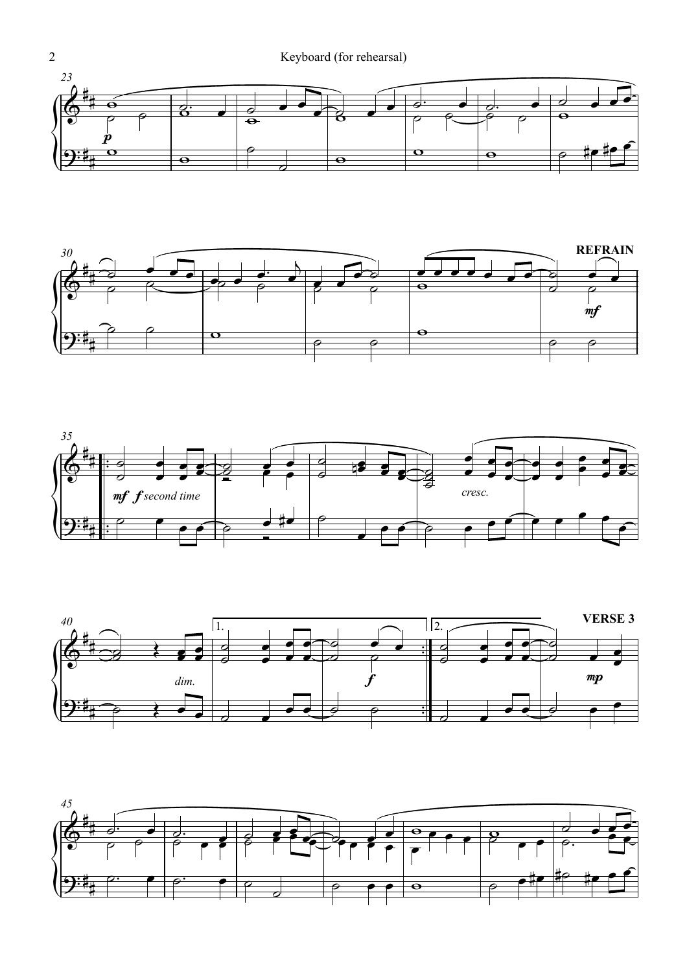